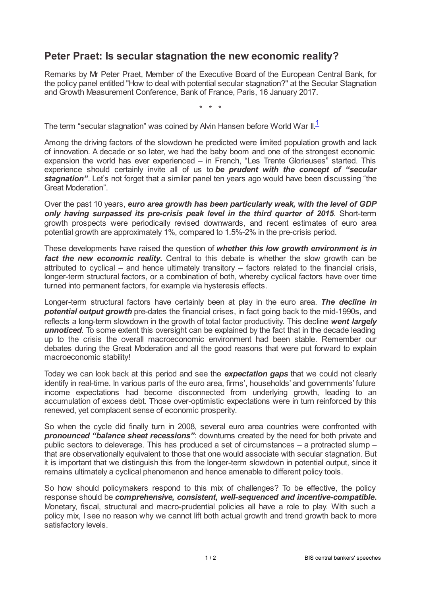## **Peter Praet: Is secular stagnation the new economic reality?**

Remarks by Mr Peter Praet, Member of the Executive Board of the European Central Bank, for the policy panel entitled "How to deal with potential secular stagnation?" at the Secular Stagnation and Growth Measurement Conference, Bank of France, Paris, 16 January 2017.

<span id="page-0-0"></span>\* \* \*

The term "secular stagnation" was coined by Alvin Hansen before World War II. $^\text{1}$  $^\text{1}$  $^\text{1}$ 

Among the driving factors of the slowdown he predicted were limited population growth and lack of innovation. A decade or so later, we had the baby boom and one of the strongest economic expansion the world has ever experienced – in French, "Les Trente Glorieuses" started. This experience should certainly invite all of us to *be prudent with the concept of "secular stagnation"*. Let's not forget that a similar panel ten years ago would have been discussing "the Great Moderation".

Over the past 10 years, *euro area growth has been particularly weak, with the level of GDP only having surpassed its pre-crisis peak level in the third quarter of 2015*. Short-term growth prospects were periodically revised downwards, and recent estimates of euro area potential growth are approximately 1%, compared to 1.5%-2% in the pre-crisis period.

These developments have raised the question of *whether this low growth environment is in fact the new economic reality***.** Central to this debate is whether the slow growth can be attributed to cyclical – and hence ultimately transitory – factors related to the financial crisis, longer-term structural factors, or a combination of both, whereby cyclical factors have over time turned into permanent factors, for example via hysteresis effects.

Longer-term structural factors have certainly been at play in the euro area. *The decline in potential output growth* pre-dates the financial crises, in fact going back to the mid-1990s, and reflects a long-term slowdown in the growth of total factor productivity. This decline *went largely unnoticed*. To some extent this oversight can be explained by the fact that in the decade leading up to the crisis the overall macroeconomic environment had been stable. Remember our debates during the Great Moderation and all the good reasons that were put forward to explain macroeconomic stability!

Today we can look back at this period and see the *expectation gaps* that we could not clearly identify in real-time. In various parts of the euro area, firms', households' and governments' future income expectations had become disconnected from underlying growth, leading to an accumulation of excess debt. Those over-optimistic expectations were in turn reinforced by this renewed, yet complacent sense of economic prosperity.

So when the cycle did finally turn in 2008, several euro area countries were confronted with *pronounced "balance sheet recessions"*: downturns created by the need for both private and public sectors to deleverage. This has produced a set of circumstances – a protracted slump – that are observationally equivalent to those that one would associate with secular stagnation. But it is important that we distinguish this from the longer-term slowdown in potential output, since it remains ultimately a cyclical phenomenon and hence amenable to different policy tools.

So how should policymakers respond to this mix of challenges? To be effective, the policy response should be *comprehensive, consistent, well-sequenced and incentive-compatible***.** Monetary, fiscal, structural and macro-prudential policies all have a role to play. With such a policy mix, I see no reason why we cannot lift both actual growth and trend growth back to more satisfactory levels.